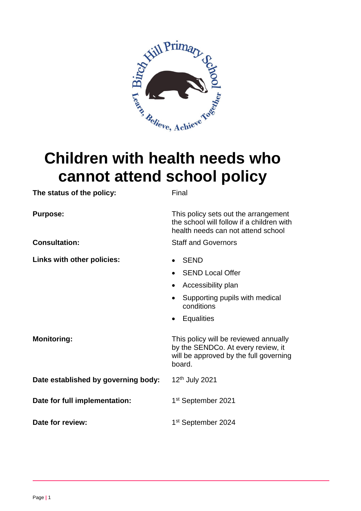

# **Children with health needs who cannot attend school policy**

| The status of the policy:           | Final                                                                                                                                  |
|-------------------------------------|----------------------------------------------------------------------------------------------------------------------------------------|
| <b>Purpose:</b>                     | This policy sets out the arrangement<br>the school will follow if a children with<br>health needs can not attend school                |
| <b>Consultation:</b>                | <b>Staff and Governors</b>                                                                                                             |
| Links with other policies:          | <b>SEND</b><br><b>SEND Local Offer</b><br>Accessibility plan<br>$\bullet$<br>Supporting pupils with medical<br>$\bullet$<br>conditions |
|                                     | <b>Equalities</b><br>$\bullet$                                                                                                         |
| <b>Monitoring:</b>                  | This policy will be reviewed annually<br>by the SENDCo. At every review, it<br>will be approved by the full governing<br>board.        |
| Date established by governing body: | 12 <sup>th</sup> July 2021                                                                                                             |
| Date for full implementation:       | 1 <sup>st</sup> September 2021                                                                                                         |
| Date for review:                    | 1 <sup>st</sup> September 2024                                                                                                         |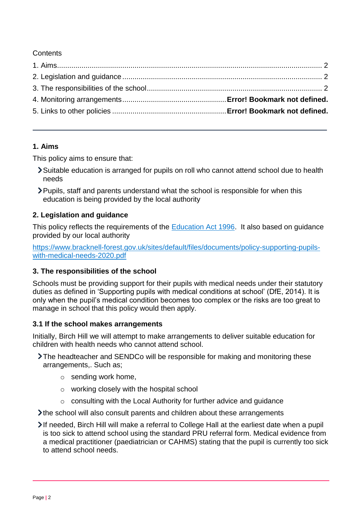**Contents** 

# <span id="page-1-0"></span>**1. Aims**

This policy aims to ensure that:

- Suitable education is arranged for pupils on roll who cannot attend school due to health needs
- Pupils, staff and parents understand what the school is responsible for when this education is being provided by the local authority

# <span id="page-1-1"></span>**2. Legislation and guidance**

This policy reflects the requirements of the [Education Act 1996.](http://www.legislation.gov.uk/ukpga/1996/56/section/19) It also based on guidance provided by our local authority

[https://www.bracknell-forest.gov.uk/sites/default/files/documents/policy-supporting-pupils](https://www.bracknell-forest.gov.uk/sites/default/files/documents/policy-supporting-pupils-with-medical-needs-2020.pdf)[with-medical-needs-2020.pdf](https://www.bracknell-forest.gov.uk/sites/default/files/documents/policy-supporting-pupils-with-medical-needs-2020.pdf)

### <span id="page-1-2"></span>**3. The responsibilities of the school**

Schools must be providing support for their pupils with medical needs under their statutory duties as defined in 'Supporting pupils with medical conditions at school' (DfE, 2014). It is only when the pupil's medical condition becomes too complex or the risks are too great to manage in school that this policy would then apply.

### **3.1 If the school makes arrangements**

Initially, Birch Hill we will attempt to make arrangements to deliver suitable education for children with health needs who cannot attend school.

- The headteacher and SENDCo will be responsible for making and monitoring these arrangements,. Such as;
	- o sending work home,
	- o working closely with the hospital school
	- o consulting with the Local Authority for further advice and guidance

the school will also consult parents and children about these arrangements

If needed, Birch Hill will make a referral to College Hall at the earliest date when a pupil is too sick to attend school using the standard PRU referral form. Medical evidence from a medical practitioner (paediatrician or CAHMS) stating that the pupil is currently too sick to attend school needs.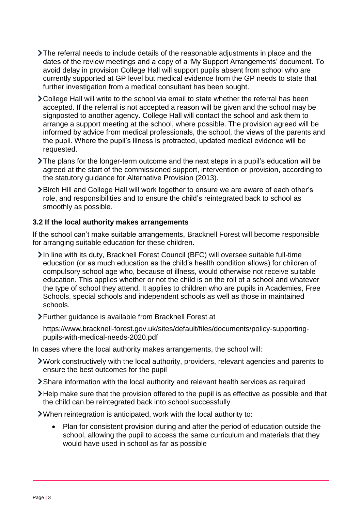- The referral needs to include details of the reasonable adjustments in place and the dates of the review meetings and a copy of a 'My Support Arrangements' document. To avoid delay in provision College Hall will support pupils absent from school who are currently supported at GP level but medical evidence from the GP needs to state that further investigation from a medical consultant has been sought.
- > College Hall will write to the school via email to state whether the referral has been accepted. If the referral is not accepted a reason will be given and the school may be signposted to another agency. College Hall will contact the school and ask them to arrange a support meeting at the school, where possible. The provision agreed will be informed by advice from medical professionals, the school, the views of the parents and the pupil. Where the pupil's illness is protracted, updated medical evidence will be requested.
- The plans for the longer-term outcome and the next steps in a pupil's education will be agreed at the start of the commissioned support, intervention or provision, according to the statutory guidance for Alternative Provision (2013).
- Birch Hill and College Hall will work together to ensure we are aware of each other's role, and responsibilities and to ensure the child's reintegrated back to school as smoothly as possible.

### **3.2 If the local authority makes arrangements**

If the school can't make suitable arrangements, Bracknell Forest will become responsible for arranging suitable education for these children.

- In line with its duty, Bracknell Forest Council (BFC) will oversee suitable full-time education (or as much education as the child's health condition allows) for children of compulsory school age who, because of illness, would otherwise not receive suitable education. This applies whether or not the child is on the roll of a school and whatever the type of school they attend. It applies to children who are pupils in Academies, Free Schools, special schools and independent schools as well as those in maintained schools.
- Further guidance is available from Bracknell Forest at

https://www.bracknell-forest.gov.uk/sites/default/files/documents/policy-supportingpupils-with-medical-needs-2020.pdf

In cases where the local authority makes arrangements, the school will:

- Work constructively with the local authority, providers, relevant agencies and parents to ensure the best outcomes for the pupil
- Share information with the local authority and relevant health services as required
- Help make sure that the provision offered to the pupil is as effective as possible and that the child can be reintegrated back into school successfully
- When reintegration is anticipated, work with the local authority to:
	- Plan for consistent provision during and after the period of education outside the school, allowing the pupil to access the same curriculum and materials that they would have used in school as far as possible